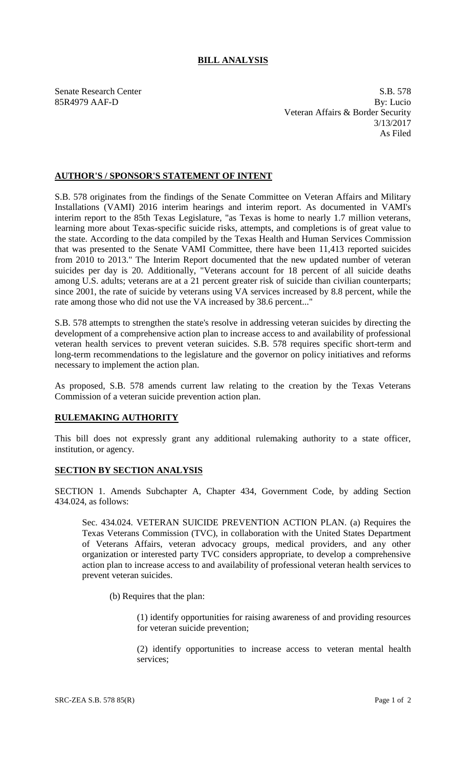## **BILL ANALYSIS**

Senate Research Center S.B. 578 85R4979 AAF-D By: Lucio Veteran Affairs & Border Security 3/13/2017 As Filed

## **AUTHOR'S / SPONSOR'S STATEMENT OF INTENT**

S.B. 578 originates from the findings of the Senate Committee on Veteran Affairs and Military Installations (VAMI) 2016 interim hearings and interim report. As documented in VAMI's interim report to the 85th Texas Legislature, "as Texas is home to nearly 1.7 million veterans, learning more about Texas-specific suicide risks, attempts, and completions is of great value to the state. According to the data compiled by the Texas Health and Human Services Commission that was presented to the Senate VAMI Committee, there have been 11,413 reported suicides from 2010 to 2013." The Interim Report documented that the new updated number of veteran suicides per day is 20. Additionally, "Veterans account for 18 percent of all suicide deaths among U.S. adults; veterans are at a 21 percent greater risk of suicide than civilian counterparts; since 2001, the rate of suicide by veterans using VA services increased by 8.8 percent, while the rate among those who did not use the VA increased by 38.6 percent..."

S.B. 578 attempts to strengthen the state's resolve in addressing veteran suicides by directing the development of a comprehensive action plan to increase access to and availability of professional veteran health services to prevent veteran suicides. S.B. 578 requires specific short-term and long-term recommendations to the legislature and the governor on policy initiatives and reforms necessary to implement the action plan.

As proposed, S.B. 578 amends current law relating to the creation by the Texas Veterans Commission of a veteran suicide prevention action plan.

## **RULEMAKING AUTHORITY**

This bill does not expressly grant any additional rulemaking authority to a state officer, institution, or agency.

## **SECTION BY SECTION ANALYSIS**

SECTION 1. Amends Subchapter A, Chapter 434, Government Code, by adding Section 434.024, as follows:

Sec. 434.024. VETERAN SUICIDE PREVENTION ACTION PLAN. (a) Requires the Texas Veterans Commission (TVC), in collaboration with the United States Department of Veterans Affairs, veteran advocacy groups, medical providers, and any other organization or interested party TVC considers appropriate, to develop a comprehensive action plan to increase access to and availability of professional veteran health services to prevent veteran suicides.

(b) Requires that the plan:

(1) identify opportunities for raising awareness of and providing resources for veteran suicide prevention;

(2) identify opportunities to increase access to veteran mental health services;